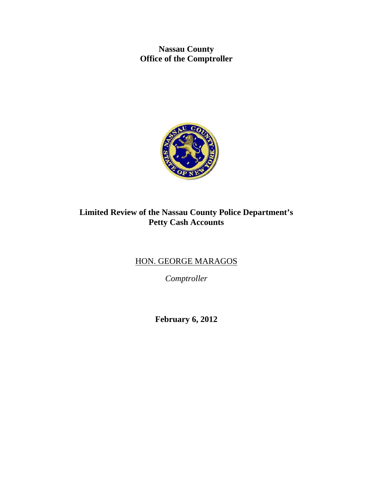**Nassau County Office of the Comptroller** 



# **Limited Review of the Nassau County Police Department's Petty Cash Accounts**

# HON. GEORGE MARAGOS

*Comptroller* 

**February 6, 2012**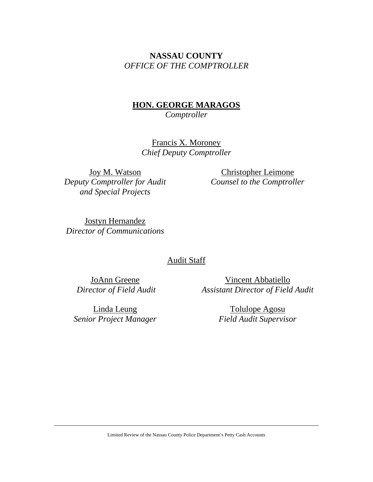# **NASSAU COUNTY**  *OFFICE OF THE COMPTROLLER*

# **HON. GEORGE MARAGOS**  *Comptroller*

Francis X. Moroney *Chief Deputy Comptroller* 

Joy M. Watson *Deputy Comptroller for Audit and Special Projects* 

Christopher Leimone *Counsel to the Comptroller* 

Jostyn Hernandez *Director of Communications* 

## Audit Staff

JoAnn Greene  *Director of Field Audit*

Vincent Abbatiello *Assistant Director of Field Audit* 

Linda Leung *Senior Project Manager*

Tolulope Agosu *Field Audit Supervisor*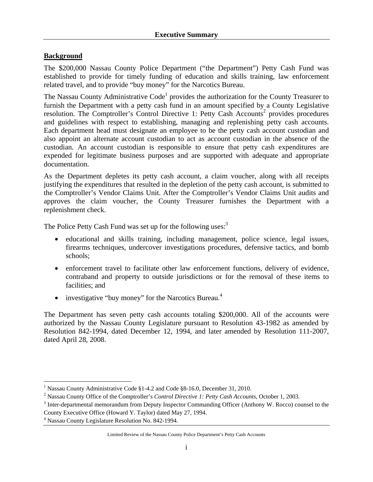#### **Background**

The \$200,000 Nassau County Police Department ("the Department") Petty Cash Fund was established to provide for timely funding of education and skills training, law enforcement related travel, and to provide "buy money" for the Narcotics Bureau.

The Nassau County Administrative Code<sup>1</sup> provides the authorization for the County Treasurer to furnish the Department with a petty cash fund in an amount specified by a County Legislative resolution. The Comptroller's Control Directive 1: Petty Cash Accounts<sup>2</sup> provides procedures and guidelines with respect to establishing, managing and replenishing petty cash accounts. Each department head must designate an employee to be the petty cash account custodian and also appoint an alternate account custodian to act as account custodian in the absence of the custodian. An account custodian is responsible to ensure that petty cash expenditures are expended for legitimate business purposes and are supported with adequate and appropriate documentation.

As the Department depletes its petty cash account, a claim voucher, along with all receipts justifying the expenditures that resulted in the depletion of the petty cash account, is submitted to the Comptroller's Vendor Claims Unit. After the Comptroller's Vendor Claims Unit audits and approves the claim voucher, the County Treasurer furnishes the Department with a replenishment check.

The Police Petty Cash Fund was set up for the following uses:<sup>3</sup>

- educational and skills training, including management, police science, legal issues, firearms techniques, undercover investigations procedures, defensive tactics, and bomb schools;
- enforcement travel to facilitate other law enforcement functions, delivery of evidence, contraband and property to outside jurisdictions or for the removal of these items to facilities; and
- investigative "buy money" for the Narcotics Bureau. $4$

The Department has seven petty cash accounts totaling \$200,000. All of the accounts were authorized by the Nassau County Legislature pursuant to Resolution 43-1982 as amended by Resolution 842-1994, dated December 12, 1994, and later amended by Resolution 111-2007, dated April 28, 2008.

<sup>&</sup>lt;sup>1</sup><br><sup>1</sup> Nassau County Administrative Code §1-4.2 and Code §8-16.0, December 31, 2010.

<sup>&</sup>lt;sup>2</sup> Nassau County Office of the Comptroller's *Control Directive 1: Petty Cash Accounts*, October 1, 2003.

<sup>&</sup>lt;sup>3</sup> Inter-departmental memorandum from Deputy Inspector Commanding Officer (Anthony W. Rocco) counsel to the

County Executive Office (Howard Y. Taylor) dated May 27, 1994.

<sup>4</sup> Nassau County Legislature Resolution No. 842-1994.

Limited Review of the Nassau County Police Department's Petty Cash Accounts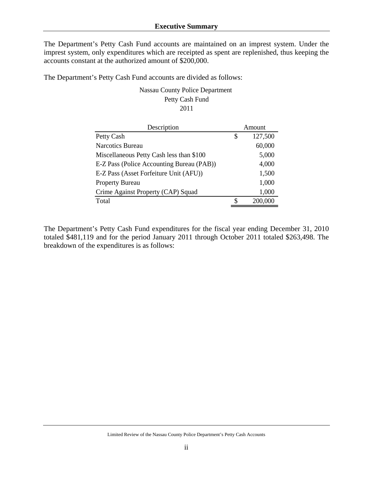The Department's Petty Cash Fund accounts are maintained on an imprest system. Under the imprest system, only expenditures which are receipted as spent are replenished, thus keeping the accounts constant at the authorized amount of \$200,000.

The Department's Petty Cash Fund accounts are divided as follows:

Nassau County Police Department Petty Cash Fund 2011

| Description                               |    | Amount  |  |  |
|-------------------------------------------|----|---------|--|--|
| Petty Cash                                | \$ | 127,500 |  |  |
| <b>Narcotics Bureau</b>                   |    | 60,000  |  |  |
| Miscellaneous Petty Cash less than \$100  |    | 5,000   |  |  |
| E-Z Pass (Police Accounting Bureau (PAB)) |    | 4,000   |  |  |
| E-Z Pass (Asset Forfeiture Unit (AFU))    |    | 1,500   |  |  |
| <b>Property Bureau</b>                    |    | 1,000   |  |  |
| Crime Against Property (CAP) Squad        |    | 1,000   |  |  |
| Total                                     | S  | 200,000 |  |  |

The Department's Petty Cash Fund expenditures for the fiscal year ending December 31, 2010 totaled \$481,119 and for the period January 2011 through October 2011 totaled \$263,498. The breakdown of the expenditures is as follows: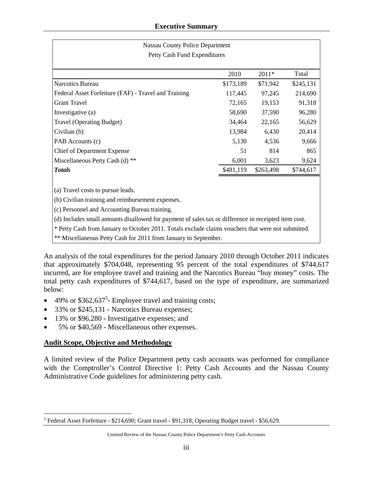| <b>Nassau County Police Department</b>               |           |           |           |  |  |  |  |  |  |
|------------------------------------------------------|-----------|-----------|-----------|--|--|--|--|--|--|
| Petty Cash Fund Expenditures                         |           |           |           |  |  |  |  |  |  |
|                                                      | 2010      | $2011*$   | Total     |  |  |  |  |  |  |
| Narcotics Bureau                                     | \$173,189 | \$71,942  | \$245,131 |  |  |  |  |  |  |
| Federal Asset Forfeiture (FAF) - Travel and Training | 117,445   | 97,245    | 214,690   |  |  |  |  |  |  |
| <b>Grant Travel</b>                                  | 72,165    | 19,153    | 91,318    |  |  |  |  |  |  |
| Investigative (a)                                    | 58,690    | 37,590    | 96,280    |  |  |  |  |  |  |
| Travel (Operating Budget)                            | 34,464    | 22,165    | 56,629    |  |  |  |  |  |  |
| Civilian (b)                                         | 13,984    | 6,430     | 20,414    |  |  |  |  |  |  |
| PAB Accounts (c)                                     | 5,130     | 4,536     | 9,666     |  |  |  |  |  |  |
| <b>Chief of Department Expense</b>                   | 51        | 814       | 865       |  |  |  |  |  |  |
| Miscellaneous Petty Cash (d) **                      | 6,001     | 3,623     | 9,624     |  |  |  |  |  |  |
| <b>Totals</b>                                        | \$481,119 | \$263,498 | \$744,617 |  |  |  |  |  |  |
|                                                      |           |           |           |  |  |  |  |  |  |
| (a) Travel costs to pursue leads.                    |           |           |           |  |  |  |  |  |  |
| (b) Civilian training and reimbursement expenses.    |           |           |           |  |  |  |  |  |  |
| (c) Personnel and Accounting Bureau training.        |           |           |           |  |  |  |  |  |  |

(d) Includes small amounts disallowed for payment of sales tax or difference in receipted item cost.

\* Petty Cash from January to October 2011. Totals exclude claims vouchers that were not submitted.

\*\* Miscellaneous Petty Cash for 2011 from January to September.

An analysis of the total expenditures for the period January 2010 through October 2011 indicates that approximately \$704,048, representing 95 percent of the total expenditures of \$744,617 incurred, are for employee travel and training and the Narcotics Bureau "buy money" costs. The total petty cash expenditures of \$744,617, based on the type of expenditure, are summarized below:

- $\bullet$  49% or \$362,637<sup>5</sup> Employee travel and training costs;
- 33% or \$245,131 Narcotics Bureau expenses;
- 13% or \$96,280 Investigative expenses; and
- 5% or \$40,569 Miscellaneous other expenses.

## **Audit Scope, Objective and Methodology**

A limited review of the Police Department petty cash accounts was performed for compliance with the Comptroller's Control Directive 1: Petty Cash Accounts and the Nassau County Administrative Code guidelines for administering petty cash.

 $\overline{a}$ <sup>5</sup> Federal Asset Forfeiture - \$214,690; Grant travel - \$91,318; Operating Budget travel - \$56,629.

Limited Review of the Nassau County Police Department's Petty Cash Accounts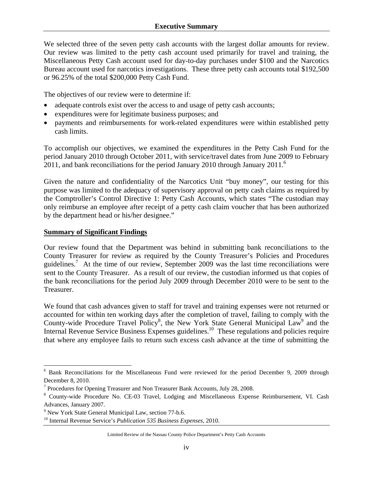We selected three of the seven petty cash accounts with the largest dollar amounts for review. Our review was limited to the petty cash account used primarily for travel and training, the Miscellaneous Petty Cash account used for day-to-day purchases under \$100 and the Narcotics Bureau account used for narcotics investigations. These three petty cash accounts total \$192,500 or 96.25% of the total \$200,000 Petty Cash Fund.

The objectives of our review were to determine if:

- adequate controls exist over the access to and usage of petty cash accounts;
- expenditures were for legitimate business purposes; and
- payments and reimbursements for work-related expenditures were within established petty cash limits.

To accomplish our objectives, we examined the expenditures in the Petty Cash Fund for the period January 2010 through October 2011, with service/travel dates from June 2009 to February  $2011$ , and bank reconciliations for the period January 2010 through January 2011.<sup>6</sup>

Given the nature and confidentiality of the Narcotics Unit "buy money", our testing for this purpose was limited to the adequacy of supervisory approval on petty cash claims as required by the Comptroller's Control Directive 1: Petty Cash Accounts, which states "The custodian may only reimburse an employee after receipt of a petty cash claim voucher that has been authorized by the department head or his/her designee."

#### **Summary of Significant Findings**

Our review found that the Department was behind in submitting bank reconciliations to the County Treasurer for review as required by the County Treasurer's Policies and Procedures guidelines.<sup>7</sup> At the time of our review, September 2009 was the last time reconciliations were sent to the County Treasurer. As a result of our review, the custodian informed us that copies of the bank reconciliations for the period July 2009 through December 2010 were to be sent to the Treasurer.

We found that cash advances given to staff for travel and training expenses were not returned or accounted for within ten working days after the completion of travel, failing to comply with the County-wide Procedure Travel Policy<sup>8</sup>, the New York State General Municipal Law<sup>9</sup> and the Internal Revenue Service Business Expenses guidelines.<sup>10</sup> These regulations and policies require that where any employee fails to return such excess cash advance at the time of submitting the

 6 Bank Reconciliations for the Miscellaneous Fund were reviewed for the period December 9, 2009 through December 8, 2010.

<sup>&</sup>lt;sup>7</sup> Procedures for Opening Treasurer and Non Treasurer Bank Accounts, July 28, 2008.

<sup>&</sup>lt;sup>8</sup> County-wide Procedure No. CE-03 Travel, Lodging and Miscellaneous Expense Reimbursement, VI. Cash Advances, January 2007.

<sup>&</sup>lt;sup>9</sup> New York State General Municipal Law, section 77-b.6.

<sup>10</sup> Internal Revenue Service's *Publication 535 Business Expenses*, 2010.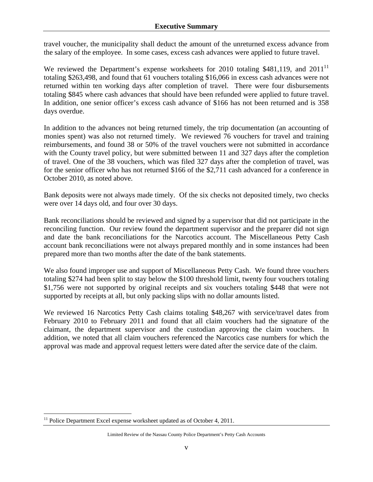travel voucher, the municipality shall deduct the amount of the unreturned excess advance from the salary of the employee. In some cases, excess cash advances were applied to future travel.

We reviewed the Department's expense worksheets for 2010 totaling \$481,119, and 2011<sup>11</sup> totaling \$263,498, and found that 61 vouchers totaling \$16,066 in excess cash advances were not returned within ten working days after completion of travel. There were four disbursements totaling \$845 where cash advances that should have been refunded were applied to future travel. In addition, one senior officer's excess cash advance of \$166 has not been returned and is 358 days overdue.

In addition to the advances not being returned timely, the trip documentation (an accounting of monies spent) was also not returned timely. We reviewed 76 vouchers for travel and training reimbursements, and found 38 or 50% of the travel vouchers were not submitted in accordance with the County travel policy, but were submitted between 11 and 327 days after the completion of travel. One of the 38 vouchers, which was filed 327 days after the completion of travel, was for the senior officer who has not returned \$166 of the \$2,711 cash advanced for a conference in October 2010, as noted above.

Bank deposits were not always made timely. Of the six checks not deposited timely, two checks were over 14 days old, and four over 30 days.

Bank reconciliations should be reviewed and signed by a supervisor that did not participate in the reconciling function. Our review found the department supervisor and the preparer did not sign and date the bank reconciliations for the Narcotics account. The Miscellaneous Petty Cash account bank reconciliations were not always prepared monthly and in some instances had been prepared more than two months after the date of the bank statements.

We also found improper use and support of Miscellaneous Petty Cash. We found three vouchers totaling \$274 had been split to stay below the \$100 threshold limit, twenty four vouchers totaling \$1,756 were not supported by original receipts and six vouchers totaling \$448 that were not supported by receipts at all, but only packing slips with no dollar amounts listed.

We reviewed 16 Narcotics Petty Cash claims totaling \$48,267 with service/travel dates from February 2010 to February 2011 and found that all claim vouchers had the signature of the claimant, the department supervisor and the custodian approving the claim vouchers. In addition, we noted that all claim vouchers referenced the Narcotics case numbers for which the approval was made and approval request letters were dated after the service date of the claim.

1

<sup>&</sup>lt;sup>11</sup> Police Department Excel expense worksheet updated as of October 4, 2011.

Limited Review of the Nassau County Police Department's Petty Cash Accounts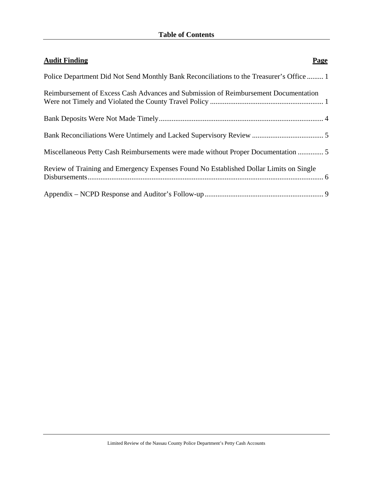| <b>Audit Finding</b><br><b>Page</b>                                                      |
|------------------------------------------------------------------------------------------|
| Police Department Did Not Send Monthly Bank Reconciliations to the Treasurer's Office  1 |
| Reimbursement of Excess Cash Advances and Submission of Reimbursement Documentation      |
|                                                                                          |
|                                                                                          |
| Miscellaneous Petty Cash Reimbursements were made without Proper Documentation  5        |
| Review of Training and Emergency Expenses Found No Established Dollar Limits on Single   |
|                                                                                          |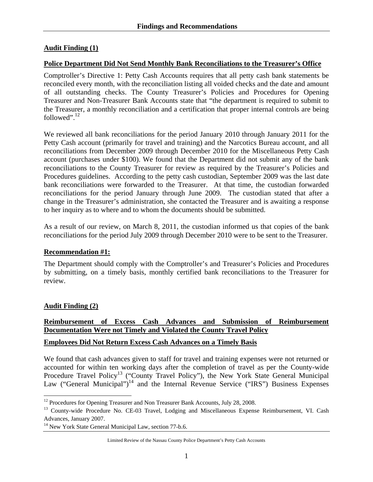#### **Audit Finding (1)**

#### **Police Department Did Not Send Monthly Bank Reconciliations to the Treasurer's Office**

Comptroller's Directive 1: Petty Cash Accounts requires that all petty cash bank statements be reconciled every month, with the reconciliation listing all voided checks and the date and amount of all outstanding checks. The County Treasurer's Policies and Procedures for Opening Treasurer and Non-Treasurer Bank Accounts state that "the department is required to submit to the Treasurer, a monthly reconciliation and a certification that proper internal controls are being followed". $12$ 

We reviewed all bank reconciliations for the period January 2010 through January 2011 for the Petty Cash account (primarily for travel and training) and the Narcotics Bureau account, and all reconciliations from December 2009 through December 2010 for the Miscellaneous Petty Cash account (purchases under \$100). We found that the Department did not submit any of the bank reconciliations to the County Treasurer for review as required by the Treasurer's Policies and Procedures guidelines. According to the petty cash custodian, September 2009 was the last date bank reconciliations were forwarded to the Treasurer. At that time, the custodian forwarded reconciliations for the period January through June 2009. The custodian stated that after a change in the Treasurer's administration, she contacted the Treasurer and is awaiting a response to her inquiry as to where and to whom the documents should be submitted.

As a result of our review, on March 8, 2011, the custodian informed us that copies of the bank reconciliations for the period July 2009 through December 2010 were to be sent to the Treasurer.

#### **Recommendation #1:**

The Department should comply with the Comptroller's and Treasurer's Policies and Procedures by submitting, on a timely basis, monthly certified bank reconciliations to the Treasurer for review.

#### **Audit Finding (2)**

 $\overline{a}$ 

## **Reimbursement of Excess Cash Advances and Submission of Reimbursement Documentation Were not Timely and Violated the County Travel Policy**

#### **Employees Did Not Return Excess Cash Advances on a Timely Basis**

We found that cash advances given to staff for travel and training expenses were not returned or accounted for within ten working days after the completion of travel as per the County-wide Procedure Travel Policy<sup>13</sup> ("County Travel Policy"), the New York State General Municipal Law ("General Municipal")<sup>14</sup> and the Internal Revenue Service ("IRS") Business Expenses

 $12$  Procedures for Opening Treasurer and Non Treasurer Bank Accounts, July 28, 2008.

<sup>&</sup>lt;sup>13</sup> County-wide Procedure No. CE-03 Travel, Lodging and Miscellaneous Expense Reimbursement, VI. Cash Advances, January 2007.

<sup>&</sup>lt;sup>14</sup> New York State General Municipal Law, section 77-b.6.

Limited Review of the Nassau County Police Department's Petty Cash Accounts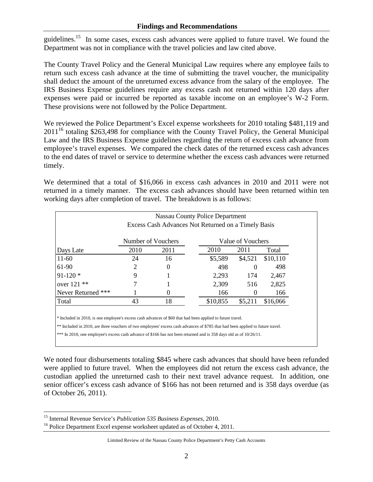guidelines.<sup>15</sup> In some cases, excess cash advances were applied to future travel. We found the Department was not in compliance with the travel policies and law cited above.

The County Travel Policy and the General Municipal Law requires where any employee fails to return such excess cash advance at the time of submitting the travel voucher, the municipality shall deduct the amount of the unreturned excess advance from the salary of the employee. The IRS Business Expense guidelines require any excess cash not returned within 120 days after expenses were paid or incurred be reported as taxable income on an employee's W-2 Form. These provisions were not followed by the Police Department.

We reviewed the Police Department's Excel expense worksheets for 2010 totaling \$481,119 and  $2011^{16}$  totaling \$263,498 for compliance with the County Travel Policy, the General Municipal Law and the IRS Business Expense guidelines regarding the return of excess cash advance from employee's travel expenses. We compared the check dates of the returned excess cash advances to the end dates of travel or service to determine whether the excess cash advances were returned timely.

We determined that a total of \$16,066 in excess cash advances in 2010 and 2011 were not returned in a timely manner. The excess cash advances should have been returned within ten working days after completion of travel. The breakdown is as follows:

|                    | Nassau County Police Department                     |          |          |                   |          |  |
|--------------------|-----------------------------------------------------|----------|----------|-------------------|----------|--|
|                    | Excess Cash Advances Not Returned on a Timely Basis |          |          |                   |          |  |
|                    | Number of Vouchers                                  |          |          | Value of Vouchers |          |  |
| Days Late          | 2010                                                | 2011     | 2010     | 2011              | Total    |  |
| $11-60$            | 24                                                  | 16       | \$5,589  | \$4,521           | \$10,110 |  |
| 61-90              | 2                                                   | $\theta$ | 498      | $\theta$          | 498      |  |
| $91-120$ *         | 9                                                   |          | 2,293    | 174               | 2,467    |  |
| over $121$ **      |                                                     |          | 2,309    | 516               | 2,825    |  |
| Never Returned *** |                                                     | $\theta$ | 166      | $\theta$          | 166      |  |
| Total              | 43                                                  | 18       | \$10,855 | \$5,211           | \$16,066 |  |

\* Included in 2010, is one employee's excess cash advances of \$60 that had been applied to future travel.

\*\* Included in 2010, are three vouchers of two employees' excess cash advances of \$785 that had been applied to future travel.

\*\*\* In 2010, one employee's excess cash advance of \$166 has not been returned and is 358 days old as of 10/26/11.

We noted four disbursements totaling \$845 where cash advances that should have been refunded were applied to future travel. When the employees did not return the excess cash advance, the custodian applied the unreturned cash to their next travel advance request. In addition, one senior officer's excess cash advance of \$166 has not been returned and is 358 days overdue (as of October 26, 2011).

 $\overline{a}$ 

<sup>&</sup>lt;sup>15</sup> Internal Revenue Service's *Publication 535 Business Expenses*, 2010.<br><sup>16</sup> Police Department Excel expense worksheet updated as of October 4, 2011.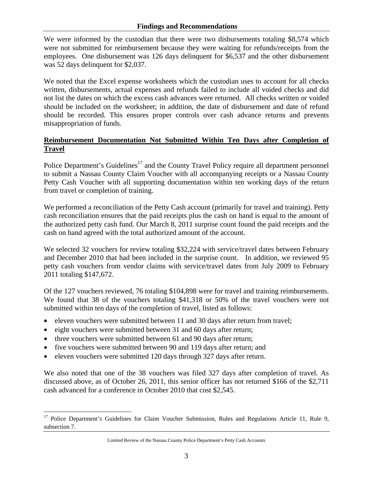We were informed by the custodian that there were two disbursements totaling \$8,574 which were not submitted for reimbursement because they were waiting for refunds/receipts from the employees. One disbursement was 126 days delinquent for \$6,537 and the other disbursement was 52 days delinquent for \$2,037.

We noted that the Excel expense worksheets which the custodian uses to account for all checks written, disbursements, actual expenses and refunds failed to include all voided checks and did not list the dates on which the excess cash advances were returned. All checks written or voided should be included on the worksheet; in addition, the date of disbursement and date of refund should be recorded. This ensures proper controls over cash advance returns and prevents misappropriation of funds.

### **Reimbursement Documentation Not Submitted Within Ten Days after Completion of Travel**

Police Department's Guidelines<sup>17</sup> and the County Travel Policy require all department personnel to submit a Nassau County Claim Voucher with all accompanying receipts or a Nassau County Petty Cash Voucher with all supporting documentation within ten working days of the return from travel or completion of training.

We performed a reconciliation of the Petty Cash account (primarily for travel and training). Petty cash reconciliation ensures that the paid receipts plus the cash on hand is equal to the amount of the authorized petty cash fund. Our March 8, 2011 surprise count found the paid receipts and the cash on hand agreed with the total authorized amount of the account.

We selected 32 vouchers for review totaling \$32,224 with service/travel dates between February and December 2010 that had been included in the surprise count. In addition, we reviewed 95 petty cash vouchers from vendor claims with service/travel dates from July 2009 to February 2011 totaling \$147,672.

Of the 127 vouchers reviewed, 76 totaling \$104,898 were for travel and training reimbursements. We found that 38 of the vouchers totaling \$41,318 or 50% of the travel vouchers were not submitted within ten days of the completion of travel, listed as follows:

- eleven vouchers were submitted between 11 and 30 days after return from travel;
- eight vouchers were submitted between 31 and 60 days after return;
- three vouchers were submitted between 61 and 90 days after return;

 $\overline{a}$ 

- five vouchers were submitted between 90 and 119 days after return; and
- eleven vouchers were submitted 120 days through 327 days after return.

We also noted that one of the 38 vouchers was filed 327 days after completion of travel. As discussed above, as of October 26, 2011, this senior officer has not returned \$166 of the \$2,711 cash advanced for a conference in October 2010 that cost \$2,545.

Limited Review of the Nassau County Police Department's Petty Cash Accounts

<sup>&</sup>lt;sup>17</sup> Police Department's Guidelines for Claim Voucher Submission, Rules and Regulations Article 11, Rule 9, subsection 7.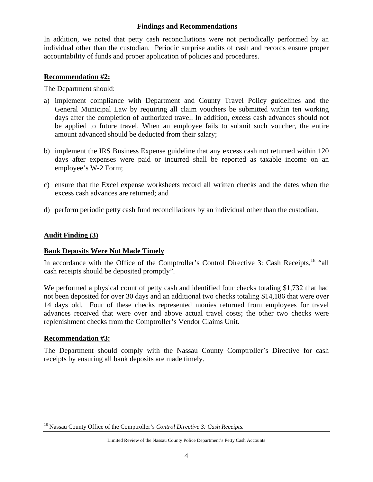In addition, we noted that petty cash reconciliations were not periodically performed by an individual other than the custodian. Periodic surprise audits of cash and records ensure proper accountability of funds and proper application of policies and procedures.

#### **Recommendation #2:**

The Department should:

- a) implement compliance with Department and County Travel Policy guidelines and the General Municipal Law by requiring all claim vouchers be submitted within ten working days after the completion of authorized travel. In addition, excess cash advances should not be applied to future travel. When an employee fails to submit such voucher, the entire amount advanced should be deducted from their salary;
- b) implement the IRS Business Expense guideline that any excess cash not returned within 120 days after expenses were paid or incurred shall be reported as taxable income on an employee's W-2 Form;
- c) ensure that the Excel expense worksheets record all written checks and the dates when the excess cash advances are returned; and
- d) perform periodic petty cash fund reconciliations by an individual other than the custodian.

#### **Audit Finding (3)**

#### **Bank Deposits Were Not Made Timely**

In accordance with the Office of the Comptroller's Control Directive 3: Cash Receipts, <sup>18</sup> "all cash receipts should be deposited promptly".

We performed a physical count of petty cash and identified four checks totaling \$1,732 that had not been deposited for over 30 days and an additional two checks totaling \$14,186 that were over 14 days old. Four of these checks represented monies returned from employees for travel advances received that were over and above actual travel costs; the other two checks were replenishment checks from the Comptroller's Vendor Claims Unit.

#### **Recommendation #3:**

 $\overline{a}$ 

The Department should comply with the Nassau County Comptroller's Directive for cash receipts by ensuring all bank deposits are made timely.

<sup>18</sup> Nassau County Office of the Comptroller's *Control Directive 3: Cash Receipts.*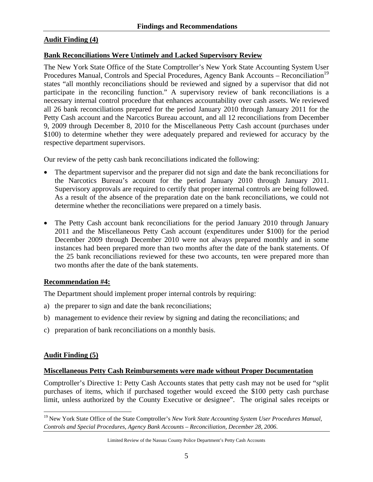#### **Audit Finding (4)**

#### **Bank Reconciliations Were Untimely and Lacked Supervisory Review**

The New York State Office of the State Comptroller's New York State Accounting System User Procedures Manual, Controls and Special Procedures, Agency Bank Accounts – Reconciliation<sup>19</sup> states "all monthly reconciliations should be reviewed and signed by a supervisor that did not participate in the reconciling function." A supervisory review of bank reconciliations is a necessary internal control procedure that enhances accountability over cash assets. We reviewed all 26 bank reconciliations prepared for the period January 2010 through January 2011 for the Petty Cash account and the Narcotics Bureau account, and all 12 reconciliations from December 9, 2009 through December 8, 2010 for the Miscellaneous Petty Cash account (purchases under \$100) to determine whether they were adequately prepared and reviewed for accuracy by the respective department supervisors.

Our review of the petty cash bank reconciliations indicated the following:

- The department supervisor and the preparer did not sign and date the bank reconciliations for the Narcotics Bureau's account for the period January 2010 through January 2011. Supervisory approvals are required to certify that proper internal controls are being followed. As a result of the absence of the preparation date on the bank reconciliations, we could not determine whether the reconciliations were prepared on a timely basis.
- The Petty Cash account bank reconciliations for the period January 2010 through January 2011 and the Miscellaneous Petty Cash account (expenditures under \$100) for the period December 2009 through December 2010 were not always prepared monthly and in some instances had been prepared more than two months after the date of the bank statements. Of the 25 bank reconciliations reviewed for these two accounts, ten were prepared more than two months after the date of the bank statements.

#### **Recommendation #4:**

The Department should implement proper internal controls by requiring:

- a) the preparer to sign and date the bank reconciliations;
- b) management to evidence their review by signing and dating the reconciliations; and
- c) preparation of bank reconciliations on a monthly basis.

#### **Audit Finding (5)**

 $\overline{a}$ 

#### **Miscellaneous Petty Cash Reimbursements were made without Proper Documentation**

Comptroller's Directive 1: Petty Cash Accounts states that petty cash may not be used for "split purchases of items, which if purchased together would exceed the \$100 petty cash purchase limit, unless authorized by the County Executive or designee". The original sales receipts or

<sup>&</sup>lt;sup>19</sup> New York State Office of the State Comptroller's *New York State Accounting System User Procedures Manual*, *Controls and Special Procedures, Agency Bank Accounts – Reconciliation, December 28, 2006*.

Limited Review of the Nassau County Police Department's Petty Cash Accounts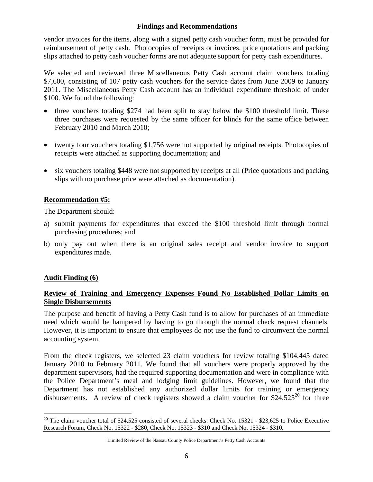vendor invoices for the items, along with a signed petty cash voucher form, must be provided for reimbursement of petty cash. Photocopies of receipts or invoices, price quotations and packing slips attached to petty cash voucher forms are not adequate support for petty cash expenditures.

We selected and reviewed three Miscellaneous Petty Cash account claim vouchers totaling \$7,600, consisting of 107 petty cash vouchers for the service dates from June 2009 to January 2011. The Miscellaneous Petty Cash account has an individual expenditure threshold of under \$100. We found the following:

- three vouchers totaling \$274 had been split to stay below the \$100 threshold limit. These three purchases were requested by the same officer for blinds for the same office between February 2010 and March 2010;
- twenty four vouchers totaling \$1,756 were not supported by original receipts. Photocopies of receipts were attached as supporting documentation; and
- six vouchers totaling \$448 were not supported by receipts at all (Price quotations and packing slips with no purchase price were attached as documentation).

#### **Recommendation #5:**

The Department should:

- a) submit payments for expenditures that exceed the \$100 threshold limit through normal purchasing procedures; and
- b) only pay out when there is an original sales receipt and vendor invoice to support expenditures made.

#### **Audit Finding (6)**

1

#### **Review of Training and Emergency Expenses Found No Established Dollar Limits on Single Disbursements**

The purpose and benefit of having a Petty Cash fund is to allow for purchases of an immediate need which would be hampered by having to go through the normal check request channels. However, it is important to ensure that employees do not use the fund to circumvent the normal accounting system.

From the check registers, we selected 23 claim vouchers for review totaling \$104,445 dated January 2010 to February 2011. We found that all vouchers were properly approved by the department supervisors, had the required supporting documentation and were in compliance with the Police Department's meal and lodging limit guidelines. However, we found that the Department has not established any authorized dollar limits for training or emergency disbursements. A review of check registers showed a claim voucher for  $$24,525^{20}$  for three

 $20$  The claim voucher total of \$24,525 consisted of several checks: Check No. 15321 - \$23,625 to Police Executive Research Forum, Check No. 15322 - \$280, Check No. 15323 - \$310 and Check No. 15324 - \$310.

Limited Review of the Nassau County Police Department's Petty Cash Accounts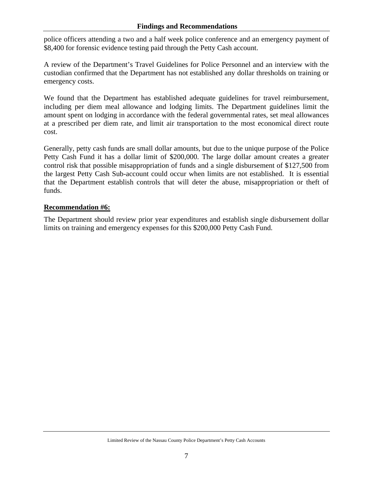police officers attending a two and a half week police conference and an emergency payment of \$8,400 for forensic evidence testing paid through the Petty Cash account.

A review of the Department's Travel Guidelines for Police Personnel and an interview with the custodian confirmed that the Department has not established any dollar thresholds on training or emergency costs.

We found that the Department has established adequate guidelines for travel reimbursement, including per diem meal allowance and lodging limits. The Department guidelines limit the amount spent on lodging in accordance with the federal governmental rates, set meal allowances at a prescribed per diem rate, and limit air transportation to the most economical direct route cost.

Generally, petty cash funds are small dollar amounts, but due to the unique purpose of the Police Petty Cash Fund it has a dollar limit of \$200,000. The large dollar amount creates a greater control risk that possible misappropriation of funds and a single disbursement of \$127,500 from the largest Petty Cash Sub-account could occur when limits are not established. It is essential that the Department establish controls that will deter the abuse, misappropriation or theft of funds.

#### **Recommendation #6:**

The Department should review prior year expenditures and establish single disbursement dollar limits on training and emergency expenses for this \$200,000 Petty Cash Fund.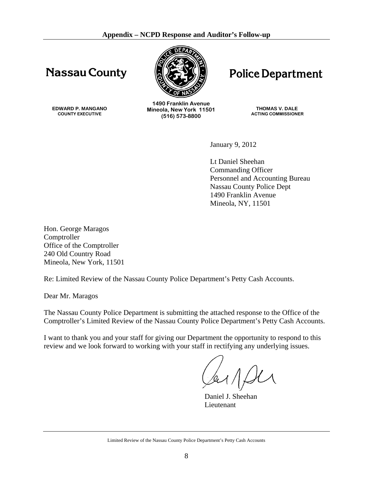# **Nassau County**



# **Police Department**

**EDWARD P. MANGANO COUNTY EXECUTIVE** 

**1490 Franklin Avenue Mineola, New York 11501 (516) 573-8800**

**THOMAS V. DALE ACTING COMMISSIONER** 

January 9, 2012

 Lt Daniel Sheehan Commanding Officer Personnel and Accounting Bureau Nassau County Police Dept 1490 Franklin Avenue Mineola, NY, 11501

Hon. George Maragos Comptroller Office of the Comptroller 240 Old Country Road Mineola, New York, 11501

Re: Limited Review of the Nassau County Police Department's Petty Cash Accounts.

Dear Mr. Maragos

The Nassau County Police Department is submitting the attached response to the Office of the Comptroller's Limited Review of the Nassau County Police Department's Petty Cash Accounts.

I want to thank you and your staff for giving our Department the opportunity to respond to this review and we look forward to working with your staff in rectifying any underlying issues.

 Daniel J. Sheehan Lieutenant

Limited Review of the Nassau County Police Department's Petty Cash Accounts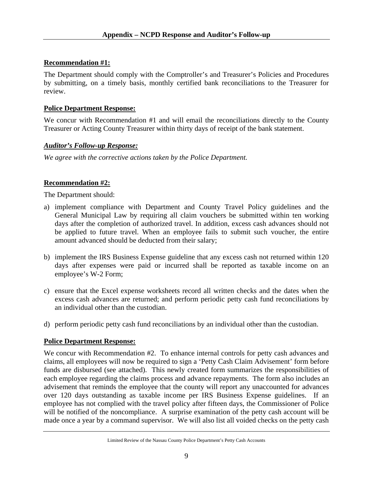#### **Recommendation #1:**

The Department should comply with the Comptroller's and Treasurer's Policies and Procedures by submitting, on a timely basis, monthly certified bank reconciliations to the Treasurer for review.

#### **Police Department Response:**

We concur with Recommendation #1 and will email the reconciliations directly to the County Treasurer or Acting County Treasurer within thirty days of receipt of the bank statement.

#### *Auditor's Follow-up Response:*

*We agree with the corrective actions taken by the Police Department.* 

#### **Recommendation #2:**

The Department should:

- a) implement compliance with Department and County Travel Policy guidelines and the General Municipal Law by requiring all claim vouchers be submitted within ten working days after the completion of authorized travel. In addition, excess cash advances should not be applied to future travel. When an employee fails to submit such voucher, the entire amount advanced should be deducted from their salary;
- b) implement the IRS Business Expense guideline that any excess cash not returned within 120 days after expenses were paid or incurred shall be reported as taxable income on an employee's W-2 Form;
- c) ensure that the Excel expense worksheets record all written checks and the dates when the excess cash advances are returned; and perform periodic petty cash fund reconciliations by an individual other than the custodian.
- d) perform periodic petty cash fund reconciliations by an individual other than the custodian.

#### **Police Department Response:**

We concur with Recommendation #2. To enhance internal controls for petty cash advances and claims, all employees will now be required to sign a 'Petty Cash Claim Advisement' form before funds are disbursed (see attached). This newly created form summarizes the responsibilities of each employee regarding the claims process and advance repayments. The form also includes an advisement that reminds the employee that the county will report any unaccounted for advances over 120 days outstanding as taxable income per IRS Business Expense guidelines. If an employee has not complied with the travel policy after fifteen days, the Commissioner of Police will be notified of the noncompliance. A surprise examination of the petty cash account will be made once a year by a command supervisor. We will also list all voided checks on the petty cash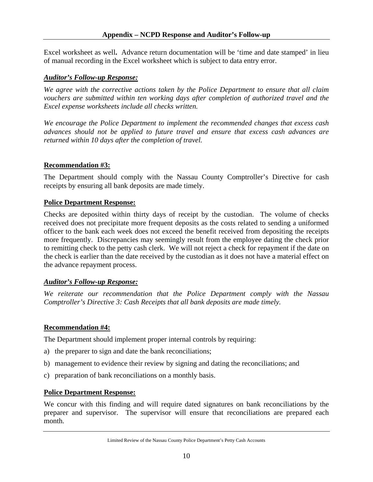Excel worksheet as well**.** Advance return documentation will be 'time and date stamped' in lieu of manual recording in the Excel worksheet which is subject to data entry error.

#### *Auditor's Follow-up Response:*

*We agree with the corrective actions taken by the Police Department to ensure that all claim vouchers are submitted within ten working days after completion of authorized travel and the Excel expense worksheets include all checks written.* 

*We encourage the Police Department to implement the recommended changes that excess cash advances should not be applied to future travel and ensure that excess cash advances are returned within 10 days after the completion of travel.* 

#### **Recommendation #3:**

The Department should comply with the Nassau County Comptroller's Directive for cash receipts by ensuring all bank deposits are made timely.

#### **Police Department Response:**

Checks are deposited within thirty days of receipt by the custodian. The volume of checks received does not precipitate more frequent deposits as the costs related to sending a uniformed officer to the bank each week does not exceed the benefit received from depositing the receipts more frequently. Discrepancies may seemingly result from the employee dating the check prior to remitting check to the petty cash clerk. We will not reject a check for repayment if the date on the check is earlier than the date received by the custodian as it does not have a material effect on the advance repayment process.

#### *Auditor's Follow-up Response:*

*We reiterate our recommendation that the Police Department comply with the Nassau Comptroller's Directive 3: Cash Receipts that all bank deposits are made timely.* 

#### **Recommendation #4:**

The Department should implement proper internal controls by requiring:

- a) the preparer to sign and date the bank reconciliations;
- b) management to evidence their review by signing and dating the reconciliations; and
- c) preparation of bank reconciliations on a monthly basis.

#### **Police Department Response:**

We concur with this finding and will require dated signatures on bank reconciliations by the preparer and supervisor. The supervisor will ensure that reconciliations are prepared each month.

Limited Review of the Nassau County Police Department's Petty Cash Accounts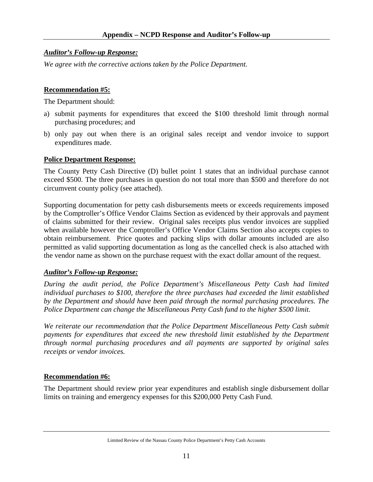#### *Auditor's Follow-up Response:*

*We agree with the corrective actions taken by the Police Department.* 

#### **Recommendation #5:**

The Department should:

- a) submit payments for expenditures that exceed the \$100 threshold limit through normal purchasing procedures; and
- b) only pay out when there is an original sales receipt and vendor invoice to support expenditures made.

#### **Police Department Response:**

The County Petty Cash Directive (D) bullet point 1 states that an individual purchase cannot exceed \$500. The three purchases in question do not total more than \$500 and therefore do not circumvent county policy (see attached).

Supporting documentation for petty cash disbursements meets or exceeds requirements imposed by the Comptroller's Office Vendor Claims Section as evidenced by their approvals and payment of claims submitted for their review. Original sales receipts plus vendor invoices are supplied when available however the Comptroller's Office Vendor Claims Section also accepts copies to obtain reimbursement. Price quotes and packing slips with dollar amounts included are also permitted as valid supporting documentation as long as the cancelled check is also attached with the vendor name as shown on the purchase request with the exact dollar amount of the request.

#### *Auditor's Follow-up Response:*

*During the audit period, the Police Department's Miscellaneous Petty Cash had limited individual purchases to \$100, therefore the three purchases had exceeded the limit established by the Department and should have been paid through the normal purchasing procedures. The Police Department can change the Miscellaneous Petty Cash fund to the higher \$500 limit.* 

*We reiterate our recommendation that the Police Department Miscellaneous Petty Cash submit payments for expenditures that exceed the new threshold limit established by the Department through normal purchasing procedures and all payments are supported by original sales receipts or vendor invoices.* 

#### **Recommendation #6:**

The Department should review prior year expenditures and establish single disbursement dollar limits on training and emergency expenses for this \$200,000 Petty Cash Fund.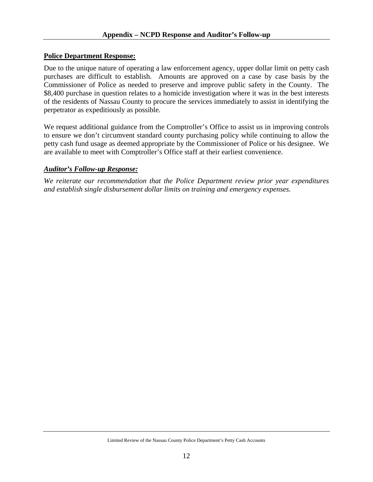#### **Police Department Response:**

Due to the unique nature of operating a law enforcement agency, upper dollar limit on petty cash purchases are difficult to establish. Amounts are approved on a case by case basis by the Commissioner of Police as needed to preserve and improve public safety in the County. The \$8,400 purchase in question relates to a homicide investigation where it was in the best interests of the residents of Nassau County to procure the services immediately to assist in identifying the perpetrator as expeditiously as possible.

We request additional guidance from the Comptroller's Office to assist us in improving controls to ensure we don't circumvent standard county purchasing policy while continuing to allow the petty cash fund usage as deemed appropriate by the Commissioner of Police or his designee. We are available to meet with Comptroller's Office staff at their earliest convenience.

#### *Auditor's Follow-up Response:*

*We reiterate our recommendation that the Police Department review prior year expenditures and establish single disbursement dollar limits on training and emergency expenses.*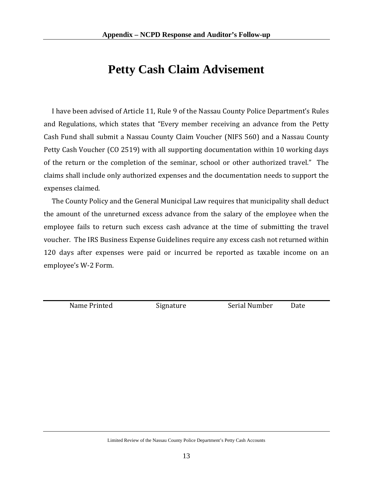# **Petty Cash Claim Advisement**

 I have been advised of Article 11, Rule 9 of the Nassau County Police Department's Rules and Regulations, which states that "Every member receiving an advance from the Petty Cash Fund shall submit a Nassau County Claim Voucher (NIFS 560) and a Nassau County Petty Cash Voucher (CO 2519) with all supporting documentation within 10 working days of the return or the completion of the seminar, school or other authorized travel." The claims shall include only authorized expenses and the documentation needs to support the expenses claimed.

 The County Policy and the General Municipal Law requires that municipality shall deduct the amount of the unreturned excess advance from the salary of the employee when the employee fails to return such excess cash advance at the time of submitting the travel voucher. The IRS Business Expense Guidelines require any excess cash not returned within 120 days after expenses were paid or incurred be reported as taxable income on an employee's W-2 Form.

Name Printed Signature Serial Number Date